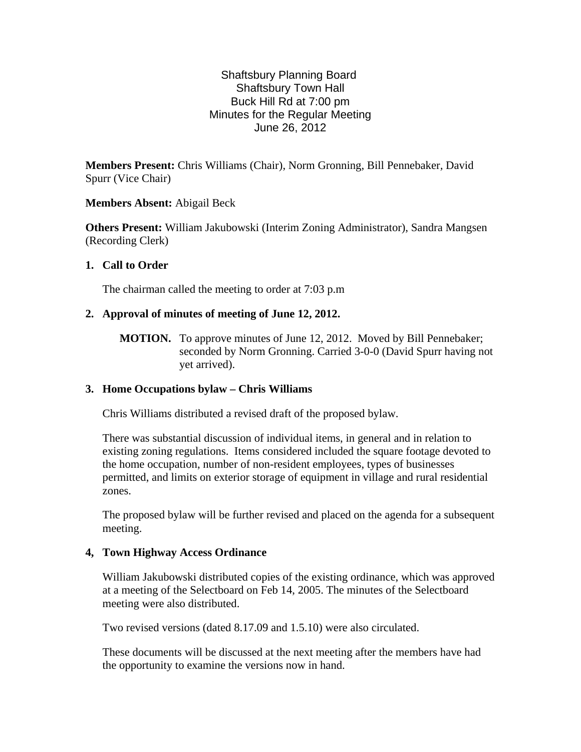# Shaftsbury Planning Board Shaftsbury Town Hall Buck Hill Rd at 7:00 pm Minutes for the Regular Meeting June 26, 2012

**Members Present:** Chris Williams (Chair), Norm Gronning, Bill Pennebaker*,* David Spurr (Vice Chair)

## **Members Absent:** Abigail Beck

**Others Present:** William Jakubowski (Interim Zoning Administrator), Sandra Mangsen (Recording Clerk)

## **1. Call to Order**

The chairman called the meeting to order at 7:03 p.m

## **2. Approval of minutes of meeting of June 12, 2012.**

**MOTION.** To approve minutes of June 12, 2012. Moved by Bill Pennebaker; seconded by Norm Gronning. Carried 3-0-0 (David Spurr having not yet arrived).

# **3. Home Occupations bylaw – Chris Williams**

Chris Williams distributed a revised draft of the proposed bylaw.

There was substantial discussion of individual items, in general and in relation to existing zoning regulations. Items considered included the square footage devoted to the home occupation, number of non-resident employees, types of businesses permitted, and limits on exterior storage of equipment in village and rural residential zones.

The proposed bylaw will be further revised and placed on the agenda for a subsequent meeting.

#### **4, Town Highway Access Ordinance**

William Jakubowski distributed copies of the existing ordinance, which was approved at a meeting of the Selectboard on Feb 14, 2005. The minutes of the Selectboard meeting were also distributed.

Two revised versions (dated 8.17.09 and 1.5.10) were also circulated.

These documents will be discussed at the next meeting after the members have had the opportunity to examine the versions now in hand.